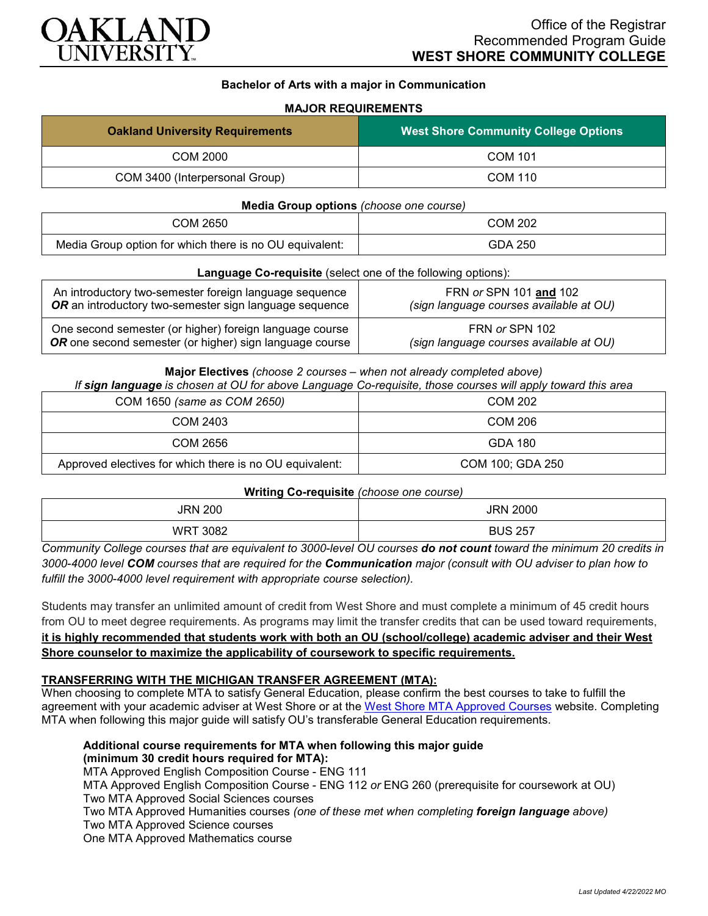

## **Bachelor of Arts with a major in Communication**

## **MAJOR REQUIREMENTS**

| <b>Oakland University Requirements</b> | <b>West Shore Community College Options</b> |
|----------------------------------------|---------------------------------------------|
| COM 2000                               | <b>COM 101</b>                              |
| COM 3400 (Interpersonal Group)         | COM 110                                     |

#### **Media Group options** *(choose one course)*

| COM 2650                                                | COM 202 |
|---------------------------------------------------------|---------|
| Media Group option for which there is no OU equivalent: | GDA 250 |

#### **Language Co-requisite** (select one of the following options):

| An introductory two-semester foreign language sequence  | FRN or SPN 101 and 102                  |
|---------------------------------------------------------|-----------------------------------------|
| OR an introductory two-semester sign language sequence  | (sign language courses available at OU) |
| One second semester (or higher) foreign language course | FRN or SPN 102                          |
| OR one second semester (or higher) sign language course | (sign language courses available at OU) |

#### **Major Electives** *(choose 2 courses – when not already completed above)*

*If sign language is chosen at OU for above Language Co-requisite, those courses will apply toward this area*

| COM 1650 (same as COM 2650)                             | COM 202          |
|---------------------------------------------------------|------------------|
| COM 2403                                                | COM 206          |
| COM 2656                                                | GDA 180          |
| Approved electives for which there is no OU equivalent: | COM 100; GDA 250 |

## **Writing Co-requisite** *(choose one course)*

| . .<br><b>JRN 200</b> | <b>JRN 2000</b> |
|-----------------------|-----------------|
|                       |                 |
| 3082<br>WR            | <b>BUS 257</b>  |

*Community College courses that are equivalent to 3000-level OU courses do not count toward the minimum 20 credits in 3000-4000 level COM courses that are required for the Communication major (consult with OU adviser to plan how to fulfill the 3000-4000 level requirement with appropriate course selection).*

Students may transfer an unlimited amount of credit from West Shore and must complete a minimum of 45 credit hours from OU to meet degree requirements. As programs may limit the transfer credits that can be used toward requirements, **it is highly recommended that students work with both an OU (school/college) academic adviser and their West Shore counselor to maximize the applicability of coursework to specific requirements.**

## **TRANSFERRING WITH THE MICHIGAN TRANSFER AGREEMENT (MTA):**

When choosing to complete MTA to satisfy General Education, please confirm the best courses to take to fulfill the agreement with your academic adviser at West Shore or at the [West Shore MTA Approved Courses](https://www.westshore.edu/wp-content/uploads/2017/08/WSCC-MTA.pdf) website. Completing MTA when following this major guide will satisfy OU's transferable General Education requirements.

**Additional course requirements for MTA when following this major guide (minimum 30 credit hours required for MTA):**

MTA Approved English Composition Course - ENG 111

MTA Approved English Composition Course - ENG 112 *or* ENG 260 (prerequisite for coursework at OU) Two MTA Approved Social Sciences courses

Two MTA Approved Humanities courses *(one of these met when completing foreign language above)* Two MTA Approved Science courses

One MTA Approved Mathematics course